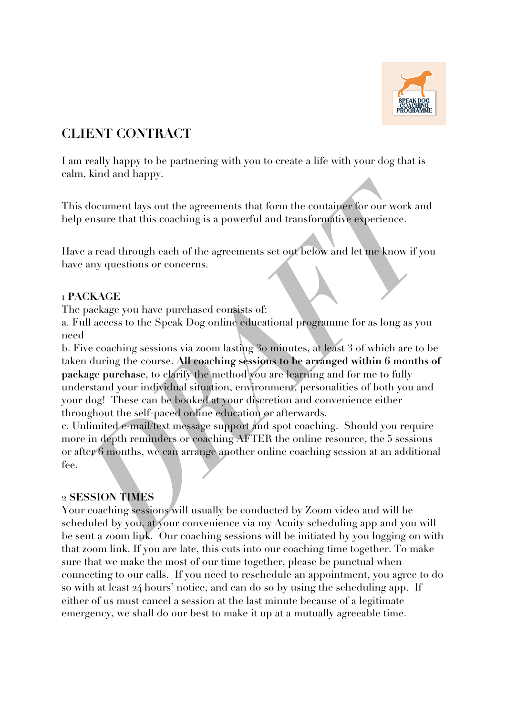

# **CLIENT CONTRACT**

I am really happy to be partnering with you to create a life with your dog that is calm, kind and happy.

This document lays out the agreements that form the container for our work and help ensure that this coaching is a powerful and transformative experience.

Have a read through each of the agreements set out below and let me know if you have any questions or concerns.

## 1 **PACKAGE**

The package you have purchased consists of:

a. Full access to the Speak Dog online educational programme for as long as you need

b. Five coaching sessions via zoom lasting 30 minutes, at least 3 of which are to be taken during the course. **All coaching sessions to be arranged within 6 months of package purchase**, to clarify the method you are learning and for me to fully understand your individual situation, environment, personalities of both you and your dog! These can be booked at your discretion and convenience either throughout the self-paced online education or afterwards.

c. Unlimited e-mail/text message support and spot coaching. Should you require more in depth reminders or coaching AFTER the online resource, the 5 sessions or after 6 months, we can arrange another online coaching session at an additional fee**.** 

### 2 **SESSION TIMES**

Your coaching sessions will usually be conducted by Zoom video and will be scheduled by you, at your convenience via my Acuity scheduling app and you will be sent a zoom link. Our coaching sessions will be initiated by you logging on with that zoom link. If you are late, this cuts into our coaching time together. To make sure that we make the most of our time together, please be punctual when connecting to our calls. If you need to reschedule an appointment, you agree to do so with at least 24 hours' notice, and can do so by using the scheduling app. If either of us must cancel a session at the last minute because of a legitimate emergency, we shall do our best to make it up at a mutually agreeable time.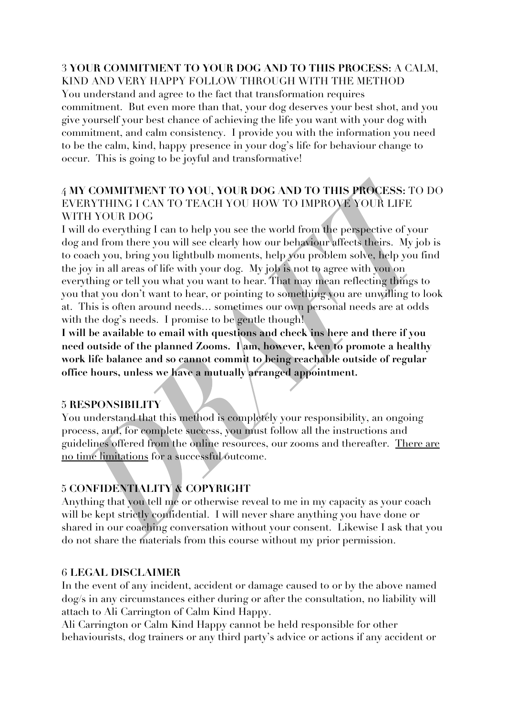#### 3 **YOUR COMMITMENT TO YOUR DOG AND TO THIS PROCESS:** A CALM, KIND AND VERY HAPPY FOLLOW THROUGH WITH THE METHOD

You understand and agree to the fact that transformation requires commitment. But even more than that, your dog deserves your best shot, and you give yourself your best chance of achieving the life you want with your dog with commitment, and calm consistency. I provide you with the information you need to be the calm, kind, happy presence in your dog's life for behaviour change to occur. This is going to be joyful and transformative!

## 4 **MY COMMITMENT TO YOU, YOUR DOG AND TO THIS PROCESS:** TO DO EVERYTHING I CAN TO TEACH YOU HOW TO IMPROVE YOUR LIFE WITH YOUR DOG

I will do everything I can to help you see the world from the perspective of your dog and from there you will see clearly how our behaviour affects theirs. My job is to coach you, bring you lightbulb moments, help you problem solve, help you find the joy in all areas of life with your dog. My job is not to agree with you on everything or tell you what you want to hear. That may mean reflecting things to you that you don't want to hear, or pointing to something you are unwilling to look at. This is often around needs… sometimes our own personal needs are at odds with the dog's needs. I promise to be gentle though!

**I will be available to email with questions and check ins here and there if you need outside of the planned Zooms. I am, however, keen to promote a healthy work life balance and so cannot commit to being reachable outside of regular office hours, unless we have a mutually arranged appointment.**

### 5 **RESPONSIBILITY**

You understand that this method is completely your responsibility, an ongoing process, and, for complete success, you must follow all the instructions and guidelines offered from the online resources, our zooms and thereafter. There are no time limitations for a successful outcome.

## 5 **CONFIDENTIALITY & COPYRIGHT**

Anything that you tell me or otherwise reveal to me in my capacity as your coach will be kept strictly confidential. I will never share anything you have done or shared in our coaching conversation without your consent. Likewise I ask that you do not share the materials from this course without my prior permission.

### 6 **LEGAL DISCLAIMER**

In the event of any incident, accident or damage caused to or by the above named dog/s in any circumstances either during or after the consultation, no liability will attach to Ali Carrington of Calm Kind Happy.

Ali Carrington or Calm Kind Happy cannot be held responsible for other behaviourists, dog trainers or any third party's advice or actions if any accident or